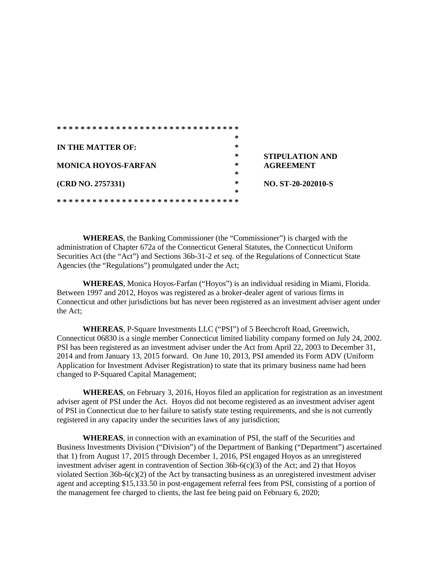|                            | ∗                                |
|----------------------------|----------------------------------|
| <b>IN THE MATTER OF:</b>   | $\ast$                           |
|                            | $\ast$<br><b>STIPULATION AND</b> |
| <b>MONICA HOYOS-FARFAN</b> | ∗<br><b>AGREEMENT</b>            |
|                            | ∗                                |
| (CRD NO. 2757331)          | ∗<br>NO. ST-20-202010-S          |
|                            | ∗                                |
|                            |                                  |

**WHEREAS**, the Banking Commissioner (the "Commissioner") is charged with the administration of Chapter 672a of the Connecticut General Statutes, the Connecticut Uniform Securities Act (the "Act") and Sections 36b-31-2 *et seq*. of the Regulations of Connecticut State Agencies (the "Regulations") promulgated under the Act;

**WHEREAS**, Monica Hoyos-Farfan ("Hoyos") is an individual residing in Miami, Florida. Between 1997 and 2012, Hoyos was registered as a broker-dealer agent of various firms in Connecticut and other jurisdictions but has never been registered as an investment adviser agent under the Act;

**WHEREAS**, P-Square Investments LLC ("PSI") of 5 Beechcroft Road, Greenwich, Connecticut 06830 is a single member Connecticut limited liability company formed on July 24, 2002. PSI has been registered as an investment adviser under the Act from April 22, 2003 to December 31, 2014 and from January 13, 2015 forward. On June 10, 2013, PSI amended its Form ADV (Uniform Application for Investment Adviser Registration) to state that its primary business name had been changed to P-Squared Capital Management;

**WHEREAS**, on February 3, 2016, Hoyos filed an application for registration as an investment adviser agent of PSI under the Act. Hoyos did not become registered as an investment adviser agent of PSI in Connecticut due to her failure to satisfy state testing requirements, and she is not currently registered in any capacity under the securities laws of any jurisdiction;

**WHEREAS**, in connection with an examination of PSI, the staff of the Securities and Business Investments Division ("Division") of the Department of Banking ("Department") ascertained that 1) from August 17, 2015 through December 1, 2016, PSI engaged Hoyos as an unregistered investment adviser agent in contravention of Section  $36b-6(c)(3)$  of the Act; and 2) that Hoyos violated Section 36b-6(c)(2) of the Act by transacting business as an unregistered investment adviser agent and accepting \$15,133.50 in post-engagement referral fees from PSI, consisting of a portion of the management fee charged to clients, the last fee being paid on February 6, 2020;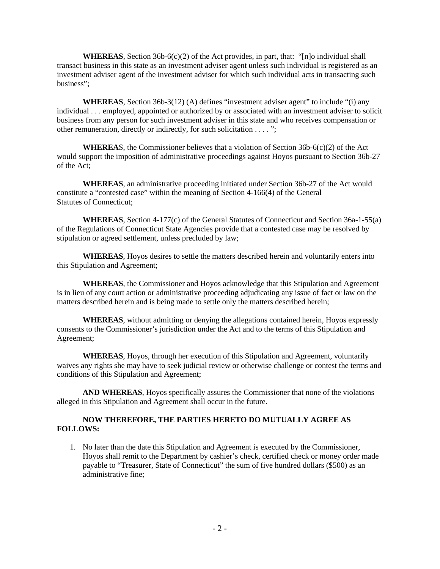**WHEREAS**, Section 36b-6(c)(2) of the Act provides, in part, that: "[n]o individual shall transact business in this state as an investment adviser agent unless such individual is registered as an investment adviser agent of the investment adviser for which such individual acts in transacting such business";

**WHEREAS**, Section 36b-3(12) (A) defines "investment adviser agent" to include "(i) any individual . . . employed, appointed or authorized by or associated with an investment adviser to solicit business from any person for such investment adviser in this state and who receives compensation or other remuneration, directly or indirectly, for such solicitation . . . . ";

**WHEREAS**, the Commissioner believes that a violation of Section  $36b-6(c)(2)$  of the Act would support the imposition of administrative proceedings against Hoyos pursuant to Section 36b-27 of the Act;

**WHEREAS**, an administrative proceeding initiated under Section 36b-27 of the Act would constitute a "contested case" within the meaning of Section 4-166(4) of the General Statutes of Connecticut;

**WHEREAS**, Section 4-177(c) of the General Statutes of Connecticut and Section 36a-1-55(a) of the Regulations of Connecticut State Agencies provide that a contested case may be resolved by stipulation or agreed settlement, unless precluded by law;

**WHEREAS**, Hoyos desires to settle the matters described herein and voluntarily enters into this Stipulation and Agreement;

**WHEREAS**, the Commissioner and Hoyos acknowledge that this Stipulation and Agreement is in lieu of any court action or administrative proceeding adjudicating any issue of fact or law on the matters described herein and is being made to settle only the matters described herein;

**WHEREAS**, without admitting or denying the allegations contained herein, Hoyos expressly consents to the Commissioner's jurisdiction under the Act and to the terms of this Stipulation and Agreement;

**WHEREAS**, Hoyos, through her execution of this Stipulation and Agreement, voluntarily waives any rights she may have to seek judicial review or otherwise challenge or contest the terms and conditions of this Stipulation and Agreement;

**AND WHEREAS**, Hoyos specifically assures the Commissioner that none of the violations alleged in this Stipulation and Agreement shall occur in the future.

## **NOW THEREFORE, THE PARTIES HERETO DO MUTUALLY AGREE AS FOLLOWS:**

1. No later than the date this Stipulation and Agreement is executed by the Commissioner, Hoyos shall remit to the Department by cashier's check, certified check or money order made payable to "Treasurer, State of Connecticut" the sum of five hundred dollars (\$500) as an administrative fine;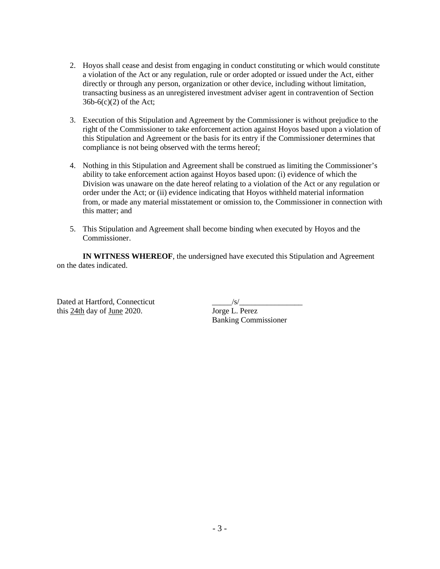- 2. Hoyos shall cease and desist from engaging in conduct constituting or which would constitute a violation of the Act or any regulation, rule or order adopted or issued under the Act, either directly or through any person, organization or other device, including without limitation, transacting business as an unregistered investment adviser agent in contravention of Section  $36b-6(c)(2)$  of the Act;
- 3. Execution of this Stipulation and Agreement by the Commissioner is without prejudice to the right of the Commissioner to take enforcement action against Hoyos based upon a violation of this Stipulation and Agreement or the basis for its entry if the Commissioner determines that compliance is not being observed with the terms hereof;
- 4. Nothing in this Stipulation and Agreement shall be construed as limiting the Commissioner's ability to take enforcement action against Hoyos based upon: (i) evidence of which the Division was unaware on the date hereof relating to a violation of the Act or any regulation or order under the Act; or (ii) evidence indicating that Hoyos withheld material information from, or made any material misstatement or omission to, the Commissioner in connection with this matter; and
- 5. This Stipulation and Agreement shall become binding when executed by Hoyos and the Commissioner.

**IN WITNESS WHEREOF**, the undersigned have executed this Stipulation and Agreement on the dates indicated.

Dated at Hartford, Connecticut<br>this 24th day of June 2020. Jorge L. Perez this 24th day of June 2020.

Banking Commissioner